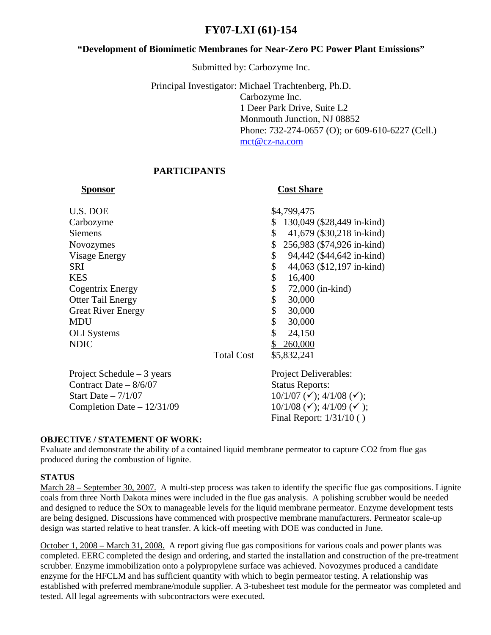# **FY07-LXI (61)-154**

# **"Development of Biomimetic Membranes for Near-Zero PC Power Plant Emissions"**

Submitted by: Carbozyme Inc.

Principal Investigator: Michael Trachtenberg, Ph.D. Carbozyme Inc. 1 Deer Park Drive, Suite L2 Monmouth Junction, NJ 08852 Phone: 732-274-0657 (O); or 609-610-6227 (Cell.) [mct@cz-na.com](mailto:mct@cz-na.com)

# **PARTICIPANTS**

# **Sponsor Cost Share**

| U.S. DOE                  |                   | \$4,799,475                |
|---------------------------|-------------------|----------------------------|
| Carbozyme                 |                   | 130,049 (\$28,449 in-kind) |
| <b>Siemens</b>            | \$                | 41,679 (\$30,218 in-kind)  |
| <b>Novozymes</b>          |                   | 256,983 (\$74,926 in-kind) |
| <b>Visage Energy</b>      | \$                | 94,442 (\$44,642 in-kind)  |
| <b>SRI</b>                | \$                | 44,063 (\$12,197 in-kind)  |
| <b>KES</b>                | \$                | 16,400                     |
| Cogentrix Energy          | \$                | 72,000 (in-kind)           |
| <b>Otter Tail Energy</b>  | \$                | 30,000                     |
| <b>Great River Energy</b> | \$                | 30,000                     |
| <b>MDU</b>                | \$                | 30,000                     |
| <b>OLI</b> Systems        | \$                | 24,150                     |
| <b>NDIC</b>               |                   | 260,000                    |
|                           | <b>Total Cost</b> | \$5,832,241                |
|                           |                   |                            |

Project Schedule – 3 years Project Deliverables: Contract Date – 8/6/07 Status Reports: Start Date –  $7/1/07$  (10/1/07 (1); 4/1/08 (1); Completion Date –  $12/31/09$  10/1/08 ( $\checkmark$ ); 4/1/09 ( $\checkmark$ );

Final Report: 1/31/10 ( )

## **OBJECTIVE / STATEMENT OF WORK:**

Evaluate and demonstrate the ability of a contained liquid membrane permeator to capture CO2 from flue gas produced during the combustion of lignite.

## **STATUS**

March 28 – September 30, 2007. A multi-step process was taken to identify the specific flue gas compositions. Lignite coals from three North Dakota mines were included in the flue gas analysis. A polishing scrubber would be needed and designed to reduce the SOx to manageable levels for the liquid membrane permeator. Enzyme development tests are being designed. Discussions have commenced with prospective membrane manufacturers. Permeator scale-up design was started relative to heat transfer. A kick-off meeting with DOE was conducted in June.

October 1, 2008 – March 31, 2008. A report giving flue gas compositions for various coals and power plants was completed. EERC completed the design and ordering, and started the installation and construction of the pre-treatment scrubber. Enzyme immobilization onto a polypropylene surface was achieved. Novozymes produced a candidate enzyme for the HFCLM and has sufficient quantity with which to begin permeator testing. A relationship was established with preferred membrane/module supplier. A 3-tubesheet test module for the permeator was completed and tested. All legal agreements with subcontractors were executed.